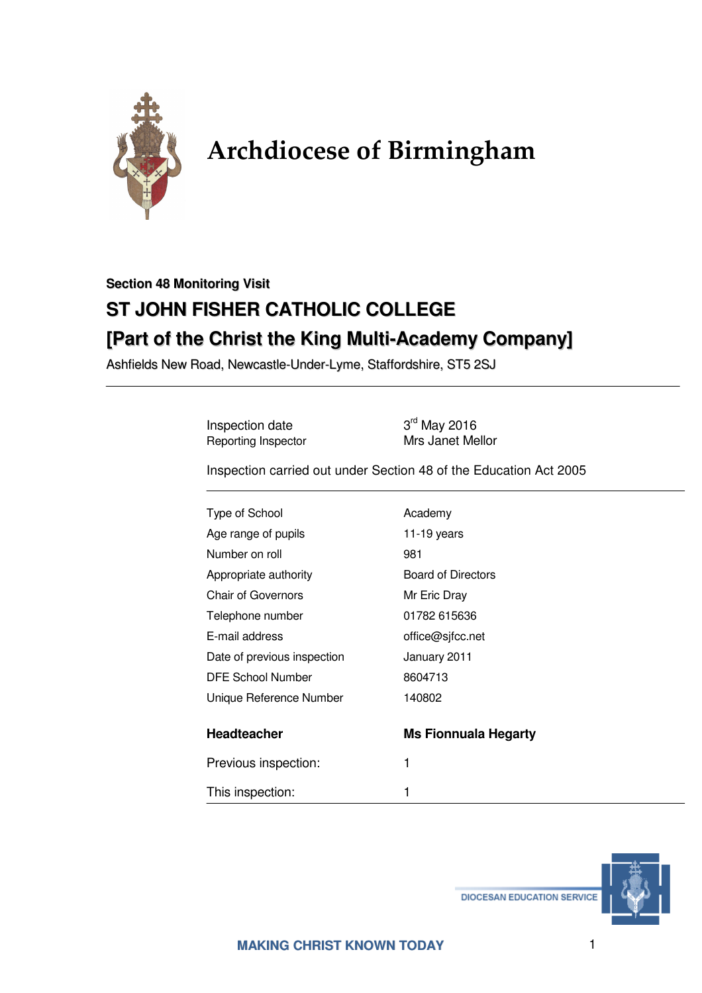

## **Archdiocese of Birmingham**

## **Section 48 Monitoring Visit ST JOHN FISHER CATHOLIC COLLEGE [Part of the Christ the King Multi-Academy Company]**

Ashfields New Road, Newcastle-Under-Lyme, Staffordshire, ST5 2SJ

Inspection date 3<sup>rd</sup> May 2016<br>Reporting Inspector 50 Mrs Janet Mellor Reporting Inspector

Inspection carried out under Section 48 of the Education Act 2005

| Type of School              | Academy                     |
|-----------------------------|-----------------------------|
| Age range of pupils         | $11-19$ years               |
| Number on roll              | 981                         |
| Appropriate authority       | <b>Board of Directors</b>   |
| <b>Chair of Governors</b>   | Mr Eric Dray                |
| Telephone number            | 01782 615636                |
| E-mail address              | office@sjfcc.net            |
| Date of previous inspection | January 2011                |
| <b>DFE School Number</b>    | 8604713                     |
| Unique Reference Number     | 140802                      |
| Headteacher                 | <b>Ms Fionnuala Hegarty</b> |
| Previous inspection:        | 1                           |
| This inspection:            | 1                           |

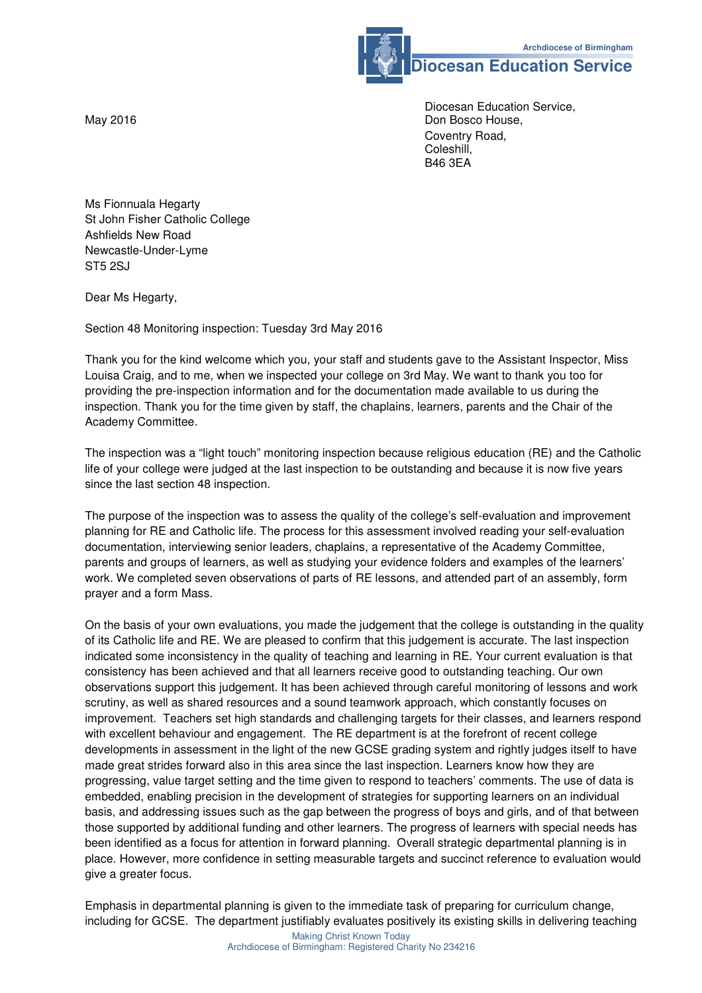

**Diocesan Education Service** 

 Diocesan Education Service, May 2016 **Don Bosco House, Inc.** The Contract of the Don Bosco House, Coventry Road, Coleshill, B46 3EA

Ms Fionnuala Hegarty St John Fisher Catholic College Ashfields New Road Newcastle-Under-Lyme ST5 2SJ

Dear Ms Hegarty,

Section 48 Monitoring inspection: Tuesday 3rd May 2016

Thank you for the kind welcome which you, your staff and students gave to the Assistant Inspector, Miss Louisa Craig, and to me, when we inspected your college on 3rd May. We want to thank you too for providing the pre-inspection information and for the documentation made available to us during the inspection. Thank you for the time given by staff, the chaplains, learners, parents and the Chair of the Academy Committee.

The inspection was a "light touch" monitoring inspection because religious education (RE) and the Catholic life of your college were judged at the last inspection to be outstanding and because it is now five years since the last section 48 inspection.

The purpose of the inspection was to assess the quality of the college's self-evaluation and improvement planning for RE and Catholic life. The process for this assessment involved reading your self-evaluation documentation, interviewing senior leaders, chaplains, a representative of the Academy Committee, parents and groups of learners, as well as studying your evidence folders and examples of the learners' work. We completed seven observations of parts of RE lessons, and attended part of an assembly, form prayer and a form Mass.

On the basis of your own evaluations, you made the judgement that the college is outstanding in the quality of its Catholic life and RE. We are pleased to confirm that this judgement is accurate. The last inspection indicated some inconsistency in the quality of teaching and learning in RE. Your current evaluation is that consistency has been achieved and that all learners receive good to outstanding teaching. Our own observations support this judgement. It has been achieved through careful monitoring of lessons and work scrutiny, as well as shared resources and a sound teamwork approach, which constantly focuses on improvement. Teachers set high standards and challenging targets for their classes, and learners respond with excellent behaviour and engagement. The RE department is at the forefront of recent college developments in assessment in the light of the new GCSE grading system and rightly judges itself to have made great strides forward also in this area since the last inspection. Learners know how they are progressing, value target setting and the time given to respond to teachers' comments. The use of data is embedded, enabling precision in the development of strategies for supporting learners on an individual basis, and addressing issues such as the gap between the progress of boys and girls, and of that between those supported by additional funding and other learners. The progress of learners with special needs has been identified as a focus for attention in forward planning. Overall strategic departmental planning is in place. However, more confidence in setting measurable targets and succinct reference to evaluation would give a greater focus.

Emphasis in departmental planning is given to the immediate task of preparing for curriculum change, including for GCSE. The department justifiably evaluates positively its existing skills in delivering teaching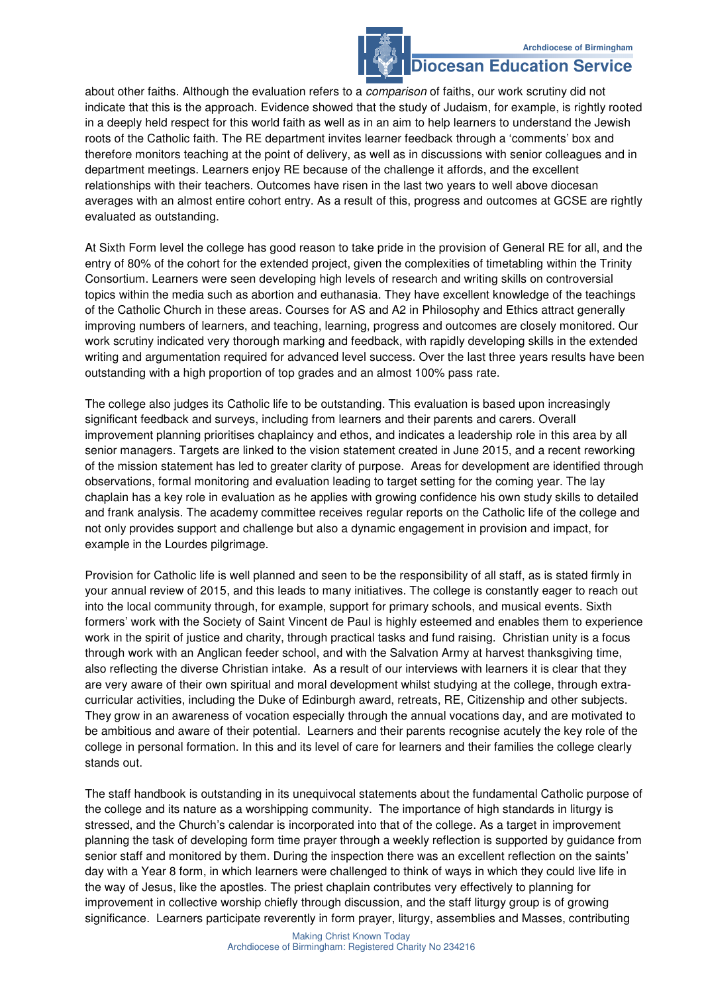## **Diocesan Education Service**

about other faiths. Although the evaluation refers to a *comparison* of faiths, our work scrutiny did not indicate that this is the approach. Evidence showed that the study of Judaism, for example, is rightly rooted in a deeply held respect for this world faith as well as in an aim to help learners to understand the Jewish roots of the Catholic faith. The RE department invites learner feedback through a 'comments' box and therefore monitors teaching at the point of delivery, as well as in discussions with senior colleagues and in department meetings. Learners enjoy RE because of the challenge it affords, and the excellent relationships with their teachers. Outcomes have risen in the last two years to well above diocesan averages with an almost entire cohort entry. As a result of this, progress and outcomes at GCSE are rightly evaluated as outstanding.

At Sixth Form level the college has good reason to take pride in the provision of General RE for all, and the entry of 80% of the cohort for the extended project, given the complexities of timetabling within the Trinity Consortium. Learners were seen developing high levels of research and writing skills on controversial topics within the media such as abortion and euthanasia. They have excellent knowledge of the teachings of the Catholic Church in these areas. Courses for AS and A2 in Philosophy and Ethics attract generally improving numbers of learners, and teaching, learning, progress and outcomes are closely monitored. Our work scrutiny indicated very thorough marking and feedback, with rapidly developing skills in the extended writing and argumentation required for advanced level success. Over the last three years results have been outstanding with a high proportion of top grades and an almost 100% pass rate.

The college also judges its Catholic life to be outstanding. This evaluation is based upon increasingly significant feedback and surveys, including from learners and their parents and carers. Overall improvement planning prioritises chaplaincy and ethos, and indicates a leadership role in this area by all senior managers. Targets are linked to the vision statement created in June 2015, and a recent reworking of the mission statement has led to greater clarity of purpose. Areas for development are identified through observations, formal monitoring and evaluation leading to target setting for the coming year. The lay chaplain has a key role in evaluation as he applies with growing confidence his own study skills to detailed and frank analysis. The academy committee receives regular reports on the Catholic life of the college and not only provides support and challenge but also a dynamic engagement in provision and impact, for example in the Lourdes pilgrimage.

Provision for Catholic life is well planned and seen to be the responsibility of all staff, as is stated firmly in your annual review of 2015, and this leads to many initiatives. The college is constantly eager to reach out into the local community through, for example, support for primary schools, and musical events. Sixth formers' work with the Society of Saint Vincent de Paul is highly esteemed and enables them to experience work in the spirit of justice and charity, through practical tasks and fund raising. Christian unity is a focus through work with an Anglican feeder school, and with the Salvation Army at harvest thanksgiving time, also reflecting the diverse Christian intake. As a result of our interviews with learners it is clear that they are very aware of their own spiritual and moral development whilst studying at the college, through extracurricular activities, including the Duke of Edinburgh award, retreats, RE, Citizenship and other subjects. They grow in an awareness of vocation especially through the annual vocations day, and are motivated to be ambitious and aware of their potential. Learners and their parents recognise acutely the key role of the college in personal formation. In this and its level of care for learners and their families the college clearly stands out.

The staff handbook is outstanding in its unequivocal statements about the fundamental Catholic purpose of the college and its nature as a worshipping community. The importance of high standards in liturgy is stressed, and the Church's calendar is incorporated into that of the college. As a target in improvement planning the task of developing form time prayer through a weekly reflection is supported by guidance from senior staff and monitored by them. During the inspection there was an excellent reflection on the saints' day with a Year 8 form, in which learners were challenged to think of ways in which they could live life in the way of Jesus, like the apostles. The priest chaplain contributes very effectively to planning for improvement in collective worship chiefly through discussion, and the staff liturgy group is of growing significance. Learners participate reverently in form prayer, liturgy, assemblies and Masses, contributing